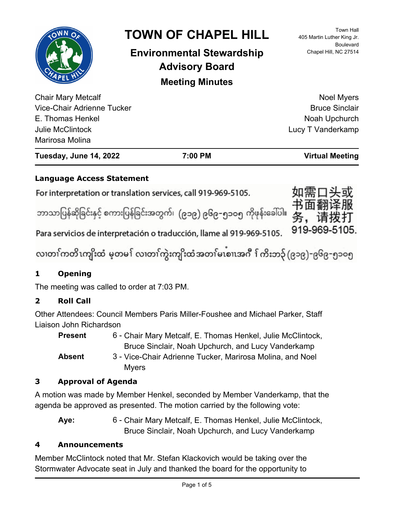| $\bullet$<br><b>HAPEL HI</b>                                                                           | <b>TOWN OF CHAPEL HILL</b><br><b>Environmental Stewardship</b><br><b>Advisory Board</b><br><b>Meeting Minutes</b> | <b>Town Hall</b><br>405 Martin Luther King Jr.<br><b>Boulevard</b><br>Chapel Hill, NC 27514 |
|--------------------------------------------------------------------------------------------------------|-------------------------------------------------------------------------------------------------------------------|---------------------------------------------------------------------------------------------|
| <b>Chair Mary Metcalf</b><br>Vice-Chair Adrienne Tucker<br>E. Thomas Henkel<br><b>Julie McClintock</b> |                                                                                                                   | <b>Noel Myers</b><br><b>Bruce Sinclair</b><br>Noah Upchurch<br>Lucy T Vanderkamp            |
| Marirosa Molina<br>Tuesday, June 14, 2022                                                              | 7:00 PM                                                                                                           | <b>Virtual Meeting</b>                                                                      |

# **Language Access Statement**

For interpretation or translation services, call 919-969-5105.

ဘာသာပြန်ဆိုခြင်းနှင့် စကားပြန်ခြင်းအတွက်၊ (၉၁၉) ၉၆၉–၅၁ဝ၅ ကိုဖုန်းခေါ်ပါ။

919-969-5105.

Para servicios de interpretación o traducción, llame al 919-969-5105.

လ၊တၢ်ကတိၤကျိးထံ မ့တမ႑် လ၊တၢ်ကွဲးကျိးထံအတၤ်မၤစၢ၊အဂီ ႑်ကိးဘ၃် (၉၁၉)-၉၆၉-၅၁၀၅

# **1 Opening**

The meeting was called to order at 7:03 PM.

# **2 Roll Call**

Other Attendees: Council Members Paris Miller-Foushee and Michael Parker, Staff Liaison John Richardson

6 - Chair Mary Metcalf, E. Thomas Henkel, Julie McClintock, Bruce Sinclair, Noah Upchurch, and Lucy Vanderkamp **Present** 3 - Vice-Chair Adrienne Tucker, Marirosa Molina, and Noel Myers **Absent**

# **3 Approval of Agenda**

A motion was made by Member Henkel, seconded by Member Vanderkamp, that the agenda be approved as presented. The motion carried by the following vote:

6 - Chair Mary Metcalf, E. Thomas Henkel, Julie McClintock, Bruce Sinclair, Noah Upchurch, and Lucy Vanderkamp **Aye:**

# **4 Announcements**

Member McClintock noted that Mr. Stefan Klackovich would be taking over the Stormwater Advocate seat in July and thanked the board for the opportunity to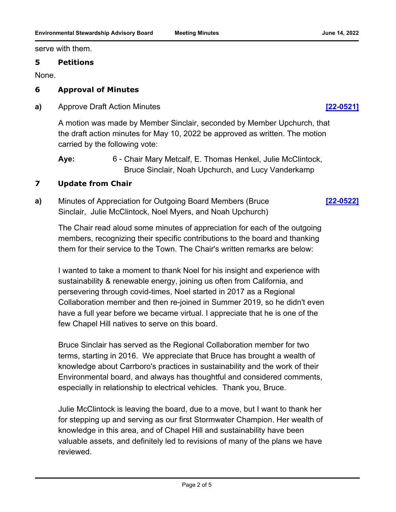serve with them.

#### **5 Petitions**

None.

### **6 Approval of Minutes**

**a)** Approve Draft Action Minutes **[\[22-0521\]](http://chapelhill.legistar.com/gateway.aspx?m=l&id=/matter.aspx?key=8080)**

A motion was made by Member Sinclair, seconded by Member Upchurch, that the draft action minutes for May 10, 2022 be approved as written. The motion carried by the following vote:

### **7 Update from Chair**

**a)** Minutes of Appreciation for Outgoing Board Members (Bruce Sinclair, Julie McClintock, Noel Myers, and Noah Upchurch) **[\[22-0522\]](http://chapelhill.legistar.com/gateway.aspx?m=l&id=/matter.aspx?key=8082)**

The Chair read aloud some minutes of appreciation for each of the outgoing members, recognizing their specific contributions to the board and thanking them for their service to the Town. The Chair's written remarks are below:

I wanted to take a moment to thank Noel for his insight and experience with sustainability & renewable energy, joining us often from California, and persevering through covid-times, Noel started in 2017 as a Regional Collaboration member and then re-joined in Summer 2019, so he didn't even have a full year before we became virtual. I appreciate that he is one of the few Chapel Hill natives to serve on this board.

Bruce Sinclair has served as the Regional Collaboration member for two terms, starting in 2016. We appreciate that Bruce has brought a wealth of knowledge about Carrboro's practices in sustainability and the work of their Environmental board, and always has thoughtful and considered comments, especially in relationship to electrical vehicles. Thank you, Bruce.

Julie McClintock is leaving the board, due to a move, but I want to thank her for stepping up and serving as our first Stormwater Champion. Her wealth of knowledge in this area, and of Chapel Hill and sustainability have been valuable assets, and definitely led to revisions of many of the plans we have reviewed.

<sup>6 -</sup> Chair Mary Metcalf, E. Thomas Henkel, Julie McClintock, Bruce Sinclair, Noah Upchurch, and Lucy Vanderkamp **Aye:**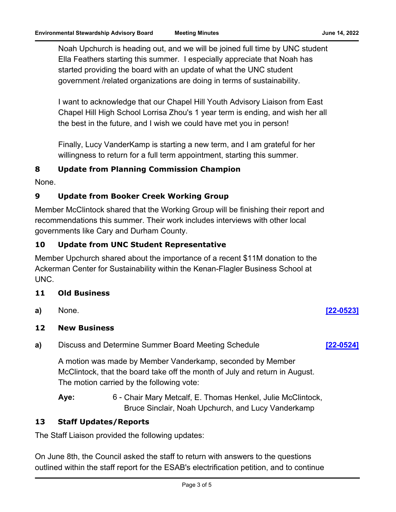Noah Upchurch is heading out, and we will be joined full time by UNC student Ella Feathers starting this summer. I especially appreciate that Noah has started providing the board with an update of what the UNC student government /related organizations are doing in terms of sustainability.

I want to acknowledge that our Chapel Hill Youth Advisory Liaison from East Chapel Hill High School Lorrisa Zhou's 1 year term is ending, and wish her all the best in the future, and I wish we could have met you in person!

Finally, Lucy VanderKamp is starting a new term, and I am grateful for her willingness to return for a full term appointment, starting this summer.

#### **8 Update from Planning Commission Champion**

None.

#### **9 Update from Booker Creek Working Group**

Member McClintock shared that the Working Group will be finishing their report and recommendations this summer. Their work includes interviews with other local governments like Cary and Durham County.

### **10 Update from UNC Student Representative**

Member Upchurch shared about the importance of a recent \$11M donation to the Ackerman Center for Sustainability within the Kenan-Flagler Business School at UNC.

#### **11 Old Business**

**a)** None. **[\[22-0523\]](http://chapelhill.legistar.com/gateway.aspx?m=l&id=/matter.aspx?key=8081)**

#### **12 New Business**

**a)** Discuss and Determine Summer Board Meeting Schedule **[\[22-0524\]](http://chapelhill.legistar.com/gateway.aspx?m=l&id=/matter.aspx?key=8083)**

A motion was made by Member Vanderkamp, seconded by Member McClintock, that the board take off the month of July and return in August. The motion carried by the following vote:

6 - Chair Mary Metcalf, E. Thomas Henkel, Julie McClintock, Bruce Sinclair, Noah Upchurch, and Lucy Vanderkamp **Aye:**

#### **13 Staff Updates/Reports**

The Staff Liaison provided the following updates:

On June 8th, the Council asked the staff to return with answers to the questions outlined within the staff report for the ESAB's electrification petition, and to continue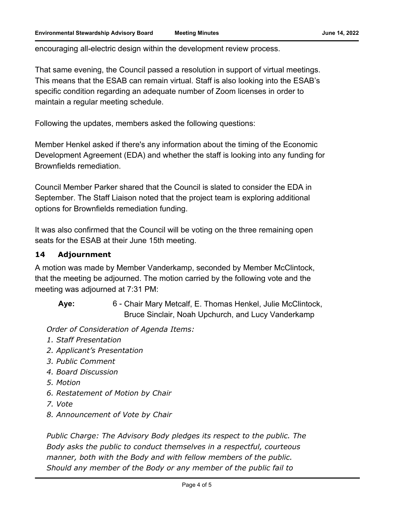encouraging all-electric design within the development review process.

That same evening, the Council passed a resolution in support of virtual meetings. This means that the ESAB can remain virtual. Staff is also looking into the ESAB's specific condition regarding an adequate number of Zoom licenses in order to maintain a regular meeting schedule.

Following the updates, members asked the following questions:

Member Henkel asked if there's any information about the timing of the Economic Development Agreement (EDA) and whether the staff is looking into any funding for Brownfields remediation.

Council Member Parker shared that the Council is slated to consider the EDA in September. The Staff Liaison noted that the project team is exploring additional options for Brownfields remediation funding.

It was also confirmed that the Council will be voting on the three remaining open seats for the ESAB at their June 15th meeting.

#### **14 Adjournment**

A motion was made by Member Vanderkamp, seconded by Member McClintock, that the meeting be adjourned. The motion carried by the following vote and the meeting was adjourned at 7:31 PM:

6 - Chair Mary Metcalf, E. Thomas Henkel, Julie McClintock, Bruce Sinclair, Noah Upchurch, and Lucy Vanderkamp **Aye:**

*Order of Consideration of Agenda Items:* 

- *1. Staff Presentation*
- *2. Applicant's Presentation*
- *3. Public Comment*
- *4. Board Discussion*
- *5. Motion*
- *6. Restatement of Motion by Chair*
- *7. Vote*
- *8. Announcement of Vote by Chair*

*Public Charge: The Advisory Body pledges its respect to the public. The Body asks the public to conduct themselves in a respectful, courteous manner, both with the Body and with fellow members of the public. Should any member of the Body or any member of the public fail to*